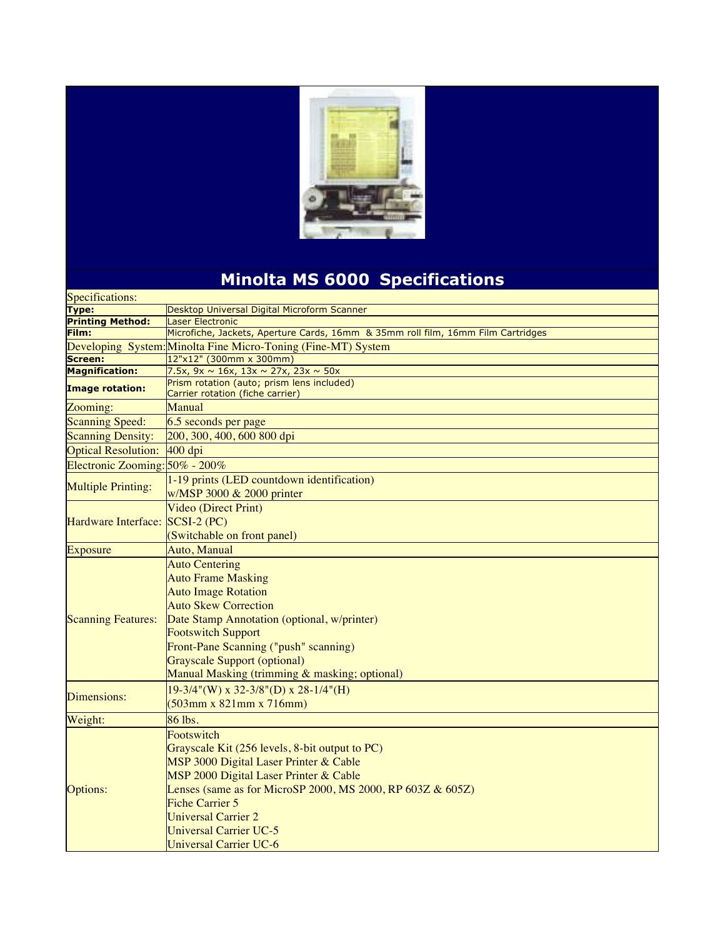

## **Minolta MS 6000 Specifications**

| Specifications:                   |                                                                                                                                                                                                                                                                                                                              |  |
|-----------------------------------|------------------------------------------------------------------------------------------------------------------------------------------------------------------------------------------------------------------------------------------------------------------------------------------------------------------------------|--|
| <b>Type:</b>                      | Desktop Universal Digital Microform Scanner                                                                                                                                                                                                                                                                                  |  |
| <b>Printing Method:</b>           | Laser Electronic                                                                                                                                                                                                                                                                                                             |  |
| Film:                             | Microfiche, Jackets, Aperture Cards, 16mm & 35mm roll film, 16mm Film Cartridges                                                                                                                                                                                                                                             |  |
|                                   | Developing System: Minolta Fine Micro-Toning (Fine-MT) System                                                                                                                                                                                                                                                                |  |
| <b>Screen:</b>                    | 12"x12" (300mm x 300mm)                                                                                                                                                                                                                                                                                                      |  |
| <b>Magnification:</b>             | 7.5x, $9x \sim 16x$ , $13x \sim 27x$ , $23x \sim 50x$                                                                                                                                                                                                                                                                        |  |
| <b>Image rotation:</b>            | Prism rotation (auto; prism lens included)<br>Carrier rotation (fiche carrier)                                                                                                                                                                                                                                               |  |
| Zooming:                          | Manual                                                                                                                                                                                                                                                                                                                       |  |
| <b>Scanning Speed:</b>            | 6.5 seconds per page                                                                                                                                                                                                                                                                                                         |  |
| <b>Scanning Density:</b>          | 200, 300, 400, 600 800 dpi                                                                                                                                                                                                                                                                                                   |  |
| <b>Optical Resolution:</b>        | 400 dpi                                                                                                                                                                                                                                                                                                                      |  |
| Electronic Zooming: $50\%$ - 200% |                                                                                                                                                                                                                                                                                                                              |  |
| <b>Multiple Printing:</b>         | 1-19 prints (LED countdown identification)<br>w/MSP 3000 & 2000 printer                                                                                                                                                                                                                                                      |  |
| Hardware Interface: SCSI-2 (PC)   | Video (Direct Print)<br>(Switchable on front panel)                                                                                                                                                                                                                                                                          |  |
| <b>Exposure</b>                   | Auto, Manual                                                                                                                                                                                                                                                                                                                 |  |
| <b>Scanning Features:</b>         | <b>Auto Centering</b><br><b>Auto Frame Masking</b><br><b>Auto Image Rotation</b><br><b>Auto Skew Correction</b><br>Date Stamp Annotation (optional, w/printer)<br><b>Footswitch Support</b><br>Front-Pane Scanning ("push" scanning)<br><b>Grayscale Support (optional)</b><br>Manual Masking (trimming & masking; optional) |  |
| Dimensions:                       | $19-3/4$ "(W) x 32-3/8"(D) x 28-1/4"(H)<br>$(503$ mm x 821mm x 716mm)                                                                                                                                                                                                                                                        |  |
| Weight:                           | 86 lbs.                                                                                                                                                                                                                                                                                                                      |  |
| Options:                          | Footswitch<br>Grayscale Kit (256 levels, 8-bit output to PC)<br>MSP 3000 Digital Laser Printer & Cable<br>MSP 2000 Digital Laser Printer & Cable<br>Lenses (same as for MicroSP 2000, MS 2000, RP 603Z $&605Z$ )<br><b>Fiche Carrier 5</b><br><b>Universal Carrier 2</b><br>Universal Carrier UC-5<br>Universal Carrier UC-6 |  |